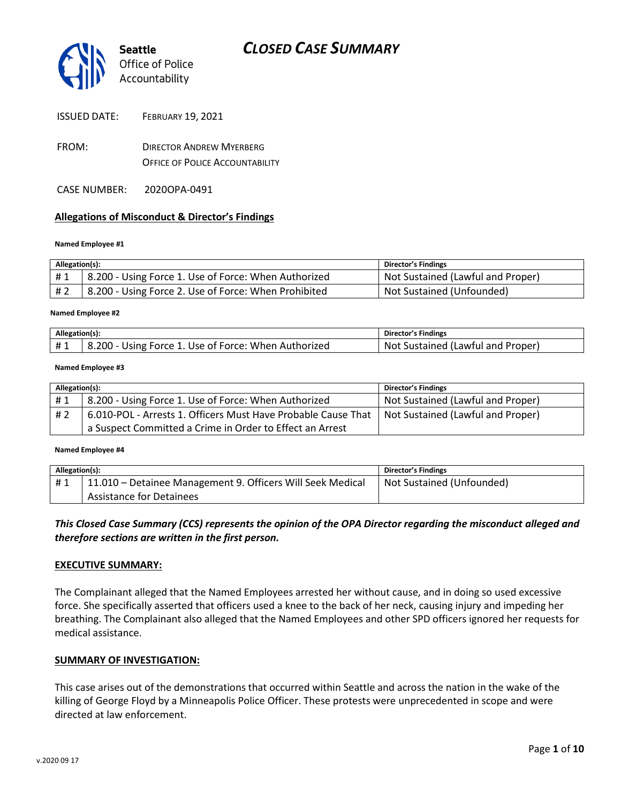

|  | <b>ISSUED DATE:</b> | <b>FEBRUARY 19, 2021</b> |
|--|---------------------|--------------------------|
|--|---------------------|--------------------------|

- FROM: DIRECTOR ANDREW MYERBERG OFFICE OF POLICE ACCOUNTABILITY
- CASE NUMBER: 2020OPA-0491

#### **Allegations of Misconduct & Director's Findings**

#### **Named Employee #1**

| Allegation(s): |                                                      | Director's Findings               |
|----------------|------------------------------------------------------|-----------------------------------|
| #1             | 8.200 - Using Force 1. Use of Force: When Authorized | Not Sustained (Lawful and Proper) |
| #2             | 8.200 - Using Force 2. Use of Force: When Prohibited | Not Sustained (Unfounded)         |

#### ؚ<br>ا **Named Employee #2**

| Allegation(s): |                                                                   | <b>Director's Findings</b>              |
|----------------|-------------------------------------------------------------------|-----------------------------------------|
| #1             | ن ا - 200. د $\,$<br>Using Force 1. Use of Force: When Authorized | . Sustained (Lawful and Proper)<br>.Not |

#### **Named Employee #3**

| Allegation(s): |                                                               | Director's Findings               |
|----------------|---------------------------------------------------------------|-----------------------------------|
| #1             | 8.200 - Using Force 1. Use of Force: When Authorized          | Not Sustained (Lawful and Proper) |
| #2             | 6.010-POL - Arrests 1. Officers Must Have Probable Cause That | Not Sustained (Lawful and Proper) |
|                | a Suspect Committed a Crime in Order to Effect an Arrest      |                                   |

#### **Named Employee #4**

| Allegation(s): |                                                                         | Director's Findings       |
|----------------|-------------------------------------------------------------------------|---------------------------|
| #1             | <sup>1</sup> 11.010 - Detainee Management 9. Officers Will Seek Medical | Not Sustained (Unfounded) |
|                | <b>Assistance for Detainees</b>                                         |                           |

### *This Closed Case Summary (CCS) represents the opinion of the OPA Director regarding the misconduct alleged and therefore sections are written in the first person.*

#### **EXECUTIVE SUMMARY:**

The Complainant alleged that the Named Employees arrested her without cause, and in doing so used excessive force. She specifically asserted that officers used a knee to the back of her neck, causing injury and impeding her breathing. The Complainant also alleged that the Named Employees and other SPD officers ignored her requests for medical assistance.

#### **SUMMARY OF INVESTIGATION:**

This case arises out of the demonstrations that occurred within Seattle and across the nation in the wake of the killing of George Floyd by a Minneapolis Police Officer. These protests were unprecedented in scope and were directed at law enforcement.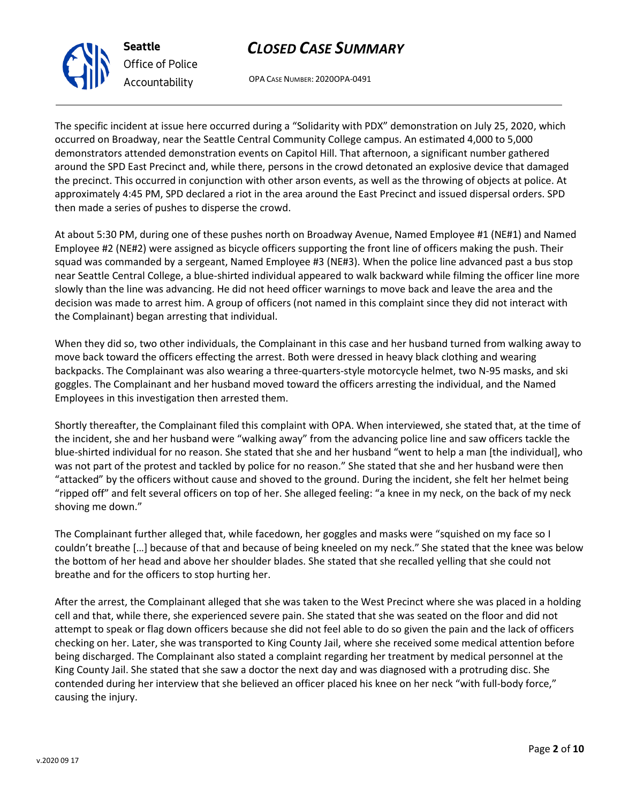OPA CASE NUMBER: 2020OPA-0491

The specific incident at issue here occurred during a "Solidarity with PDX" demonstration on July 25, 2020, which occurred on Broadway, near the Seattle Central Community College campus. An estimated 4,000 to 5,000 demonstrators attended demonstration events on Capitol Hill. That afternoon, a significant number gathered around the SPD East Precinct and, while there, persons in the crowd detonated an explosive device that damaged the precinct. This occurred in conjunction with other arson events, as well as the throwing of objects at police. At approximately 4:45 PM, SPD declared a riot in the area around the East Precinct and issued dispersal orders. SPD then made a series of pushes to disperse the crowd.

At about 5:30 PM, during one of these pushes north on Broadway Avenue, Named Employee #1 (NE#1) and Named Employee #2 (NE#2) were assigned as bicycle officers supporting the front line of officers making the push. Their squad was commanded by a sergeant, Named Employee #3 (NE#3). When the police line advanced past a bus stop near Seattle Central College, a blue-shirted individual appeared to walk backward while filming the officer line more slowly than the line was advancing. He did not heed officer warnings to move back and leave the area and the decision was made to arrest him. A group of officers (not named in this complaint since they did not interact with the Complainant) began arresting that individual.

When they did so, two other individuals, the Complainant in this case and her husband turned from walking away to move back toward the officers effecting the arrest. Both were dressed in heavy black clothing and wearing backpacks. The Complainant was also wearing a three-quarters-style motorcycle helmet, two N-95 masks, and ski goggles. The Complainant and her husband moved toward the officers arresting the individual, and the Named Employees in this investigation then arrested them.

Shortly thereafter, the Complainant filed this complaint with OPA. When interviewed, she stated that, at the time of the incident, she and her husband were "walking away" from the advancing police line and saw officers tackle the blue-shirted individual for no reason. She stated that she and her husband "went to help a man [the individual], who was not part of the protest and tackled by police for no reason." She stated that she and her husband were then "attacked" by the officers without cause and shoved to the ground. During the incident, she felt her helmet being "ripped off" and felt several officers on top of her. She alleged feeling: "a knee in my neck, on the back of my neck shoving me down."

The Complainant further alleged that, while facedown, her goggles and masks were "squished on my face so I couldn't breathe […] because of that and because of being kneeled on my neck." She stated that the knee was below the bottom of her head and above her shoulder blades. She stated that she recalled yelling that she could not breathe and for the officers to stop hurting her.

After the arrest, the Complainant alleged that she was taken to the West Precinct where she was placed in a holding cell and that, while there, she experienced severe pain. She stated that she was seated on the floor and did not attempt to speak or flag down officers because she did not feel able to do so given the pain and the lack of officers checking on her. Later, she was transported to King County Jail, where she received some medical attention before being discharged. The Complainant also stated a complaint regarding her treatment by medical personnel at the King County Jail. She stated that she saw a doctor the next day and was diagnosed with a protruding disc. She contended during her interview that she believed an officer placed his knee on her neck "with full-body force," causing the injury.



**Seattle**

*Office of Police*

*Accountability*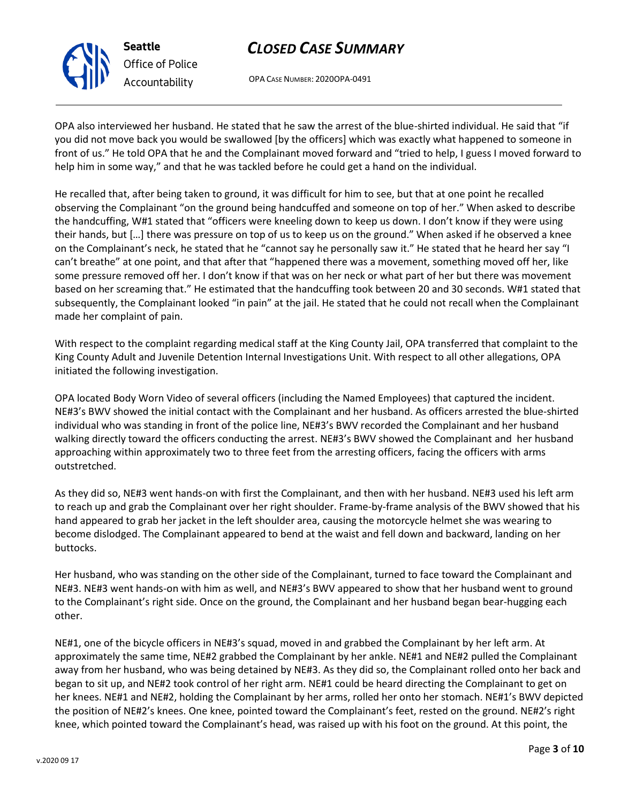

OPA CASE NUMBER: 2020OPA-0491

OPA also interviewed her husband. He stated that he saw the arrest of the blue-shirted individual. He said that "if you did not move back you would be swallowed [by the officers] which was exactly what happened to someone in front of us." He told OPA that he and the Complainant moved forward and "tried to help, I guess I moved forward to help him in some way," and that he was tackled before he could get a hand on the individual.

He recalled that, after being taken to ground, it was difficult for him to see, but that at one point he recalled observing the Complainant "on the ground being handcuffed and someone on top of her." When asked to describe the handcuffing, W#1 stated that "officers were kneeling down to keep us down. I don't know if they were using their hands, but […] there was pressure on top of us to keep us on the ground." When asked if he observed a knee on the Complainant's neck, he stated that he "cannot say he personally saw it." He stated that he heard her say "I can't breathe" at one point, and that after that "happened there was a movement, something moved off her, like some pressure removed off her. I don't know if that was on her neck or what part of her but there was movement based on her screaming that." He estimated that the handcuffing took between 20 and 30 seconds. W#1 stated that subsequently, the Complainant looked "in pain" at the jail. He stated that he could not recall when the Complainant made her complaint of pain.

With respect to the complaint regarding medical staff at the King County Jail, OPA transferred that complaint to the King County Adult and Juvenile Detention Internal Investigations Unit. With respect to all other allegations, OPA initiated the following investigation.

OPA located Body Worn Video of several officers (including the Named Employees) that captured the incident. NE#3's BWV showed the initial contact with the Complainant and her husband. As officers arrested the blue-shirted individual who was standing in front of the police line, NE#3's BWV recorded the Complainant and her husband walking directly toward the officers conducting the arrest. NE#3's BWV showed the Complainant and her husband approaching within approximately two to three feet from the arresting officers, facing the officers with arms outstretched.

As they did so, NE#3 went hands-on with first the Complainant, and then with her husband. NE#3 used his left arm to reach up and grab the Complainant over her right shoulder. Frame-by-frame analysis of the BWV showed that his hand appeared to grab her jacket in the left shoulder area, causing the motorcycle helmet she was wearing to become dislodged. The Complainant appeared to bend at the waist and fell down and backward, landing on her buttocks.

Her husband, who was standing on the other side of the Complainant, turned to face toward the Complainant and NE#3. NE#3 went hands-on with him as well, and NE#3's BWV appeared to show that her husband went to ground to the Complainant's right side. Once on the ground, the Complainant and her husband began bear-hugging each other.

NE#1, one of the bicycle officers in NE#3's squad, moved in and grabbed the Complainant by her left arm. At approximately the same time, NE#2 grabbed the Complainant by her ankle. NE#1 and NE#2 pulled the Complainant away from her husband, who was being detained by NE#3. As they did so, the Complainant rolled onto her back and began to sit up, and NE#2 took control of her right arm. NE#1 could be heard directing the Complainant to get on her knees. NE#1 and NE#2, holding the Complainant by her arms, rolled her onto her stomach. NE#1's BWV depicted the position of NE#2's knees. One knee, pointed toward the Complainant's feet, rested on the ground. NE#2's right knee, which pointed toward the Complainant's head, was raised up with his foot on the ground. At this point, the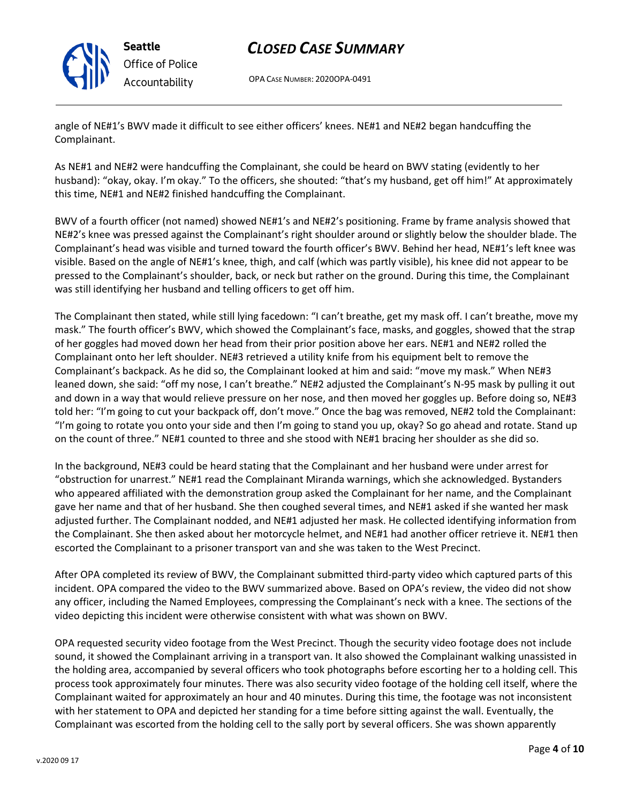

OPA CASE NUMBER: 2020OPA-0491

angle of NE#1's BWV made it difficult to see either officers' knees. NE#1 and NE#2 began handcuffing the Complainant.

As NE#1 and NE#2 were handcuffing the Complainant, she could be heard on BWV stating (evidently to her husband): "okay, okay. I'm okay." To the officers, she shouted: "that's my husband, get off him!" At approximately this time, NE#1 and NE#2 finished handcuffing the Complainant.

BWV of a fourth officer (not named) showed NE#1's and NE#2's positioning. Frame by frame analysis showed that NE#2's knee was pressed against the Complainant's right shoulder around or slightly below the shoulder blade. The Complainant's head was visible and turned toward the fourth officer's BWV. Behind her head, NE#1's left knee was visible. Based on the angle of NE#1's knee, thigh, and calf (which was partly visible), his knee did not appear to be pressed to the Complainant's shoulder, back, or neck but rather on the ground. During this time, the Complainant was still identifying her husband and telling officers to get off him.

The Complainant then stated, while still lying facedown: "I can't breathe, get my mask off. I can't breathe, move my mask." The fourth officer's BWV, which showed the Complainant's face, masks, and goggles, showed that the strap of her goggles had moved down her head from their prior position above her ears. NE#1 and NE#2 rolled the Complainant onto her left shoulder. NE#3 retrieved a utility knife from his equipment belt to remove the Complainant's backpack. As he did so, the Complainant looked at him and said: "move my mask." When NE#3 leaned down, she said: "off my nose, I can't breathe." NE#2 adjusted the Complainant's N-95 mask by pulling it out and down in a way that would relieve pressure on her nose, and then moved her goggles up. Before doing so, NE#3 told her: "I'm going to cut your backpack off, don't move." Once the bag was removed, NE#2 told the Complainant: "I'm going to rotate you onto your side and then I'm going to stand you up, okay? So go ahead and rotate. Stand up on the count of three." NE#1 counted to three and she stood with NE#1 bracing her shoulder as she did so.

In the background, NE#3 could be heard stating that the Complainant and her husband were under arrest for "obstruction for unarrest." NE#1 read the Complainant Miranda warnings, which she acknowledged. Bystanders who appeared affiliated with the demonstration group asked the Complainant for her name, and the Complainant gave her name and that of her husband. She then coughed several times, and NE#1 asked if she wanted her mask adjusted further. The Complainant nodded, and NE#1 adjusted her mask. He collected identifying information from the Complainant. She then asked about her motorcycle helmet, and NE#1 had another officer retrieve it. NE#1 then escorted the Complainant to a prisoner transport van and she was taken to the West Precinct.

After OPA completed its review of BWV, the Complainant submitted third-party video which captured parts of this incident. OPA compared the video to the BWV summarized above. Based on OPA's review, the video did not show any officer, including the Named Employees, compressing the Complainant's neck with a knee. The sections of the video depicting this incident were otherwise consistent with what was shown on BWV.

OPA requested security video footage from the West Precinct. Though the security video footage does not include sound, it showed the Complainant arriving in a transport van. It also showed the Complainant walking unassisted in the holding area, accompanied by several officers who took photographs before escorting her to a holding cell. This process took approximately four minutes. There was also security video footage of the holding cell itself, where the Complainant waited for approximately an hour and 40 minutes. During this time, the footage was not inconsistent with her statement to OPA and depicted her standing for a time before sitting against the wall. Eventually, the Complainant was escorted from the holding cell to the sally port by several officers. She was shown apparently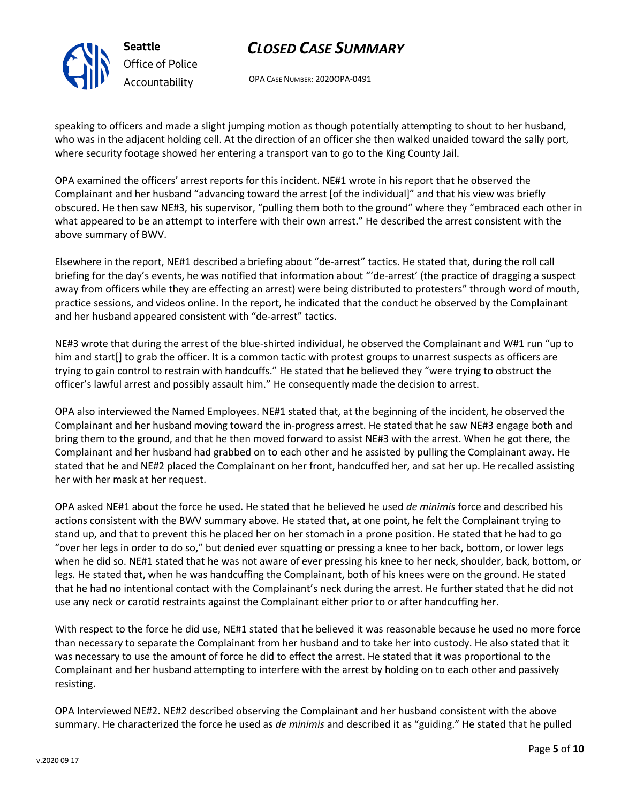OPA CASE NUMBER: 2020OPA-0491

speaking to officers and made a slight jumping motion as though potentially attempting to shout to her husband, who was in the adjacent holding cell. At the direction of an officer she then walked unaided toward the sally port, where security footage showed her entering a transport van to go to the King County Jail.

OPA examined the officers' arrest reports for this incident. NE#1 wrote in his report that he observed the Complainant and her husband "advancing toward the arrest [of the individual]" and that his view was briefly obscured. He then saw NE#3, his supervisor, "pulling them both to the ground" where they "embraced each other in what appeared to be an attempt to interfere with their own arrest." He described the arrest consistent with the above summary of BWV.

Elsewhere in the report, NE#1 described a briefing about "de-arrest" tactics. He stated that, during the roll call briefing for the day's events, he was notified that information about "'de-arrest' (the practice of dragging a suspect away from officers while they are effecting an arrest) were being distributed to protesters" through word of mouth, practice sessions, and videos online. In the report, he indicated that the conduct he observed by the Complainant and her husband appeared consistent with "de-arrest" tactics.

NE#3 wrote that during the arrest of the blue-shirted individual, he observed the Complainant and W#1 run "up to him and start[] to grab the officer. It is a common tactic with protest groups to unarrest suspects as officers are trying to gain control to restrain with handcuffs." He stated that he believed they "were trying to obstruct the officer's lawful arrest and possibly assault him." He consequently made the decision to arrest.

OPA also interviewed the Named Employees. NE#1 stated that, at the beginning of the incident, he observed the Complainant and her husband moving toward the in-progress arrest. He stated that he saw NE#3 engage both and bring them to the ground, and that he then moved forward to assist NE#3 with the arrest. When he got there, the Complainant and her husband had grabbed on to each other and he assisted by pulling the Complainant away. He stated that he and NE#2 placed the Complainant on her front, handcuffed her, and sat her up. He recalled assisting her with her mask at her request.

OPA asked NE#1 about the force he used. He stated that he believed he used *de minimis* force and described his actions consistent with the BWV summary above. He stated that, at one point, he felt the Complainant trying to stand up, and that to prevent this he placed her on her stomach in a prone position. He stated that he had to go "over her legs in order to do so," but denied ever squatting or pressing a knee to her back, bottom, or lower legs when he did so. NE#1 stated that he was not aware of ever pressing his knee to her neck, shoulder, back, bottom, or legs. He stated that, when he was handcuffing the Complainant, both of his knees were on the ground. He stated that he had no intentional contact with the Complainant's neck during the arrest. He further stated that he did not use any neck or carotid restraints against the Complainant either prior to or after handcuffing her.

With respect to the force he did use, NE#1 stated that he believed it was reasonable because he used no more force than necessary to separate the Complainant from her husband and to take her into custody. He also stated that it was necessary to use the amount of force he did to effect the arrest. He stated that it was proportional to the Complainant and her husband attempting to interfere with the arrest by holding on to each other and passively resisting.

OPA Interviewed NE#2. NE#2 described observing the Complainant and her husband consistent with the above summary. He characterized the force he used as *de minimis* and described it as "guiding." He stated that he pulled



**Seattle** *Office of Police Accountability*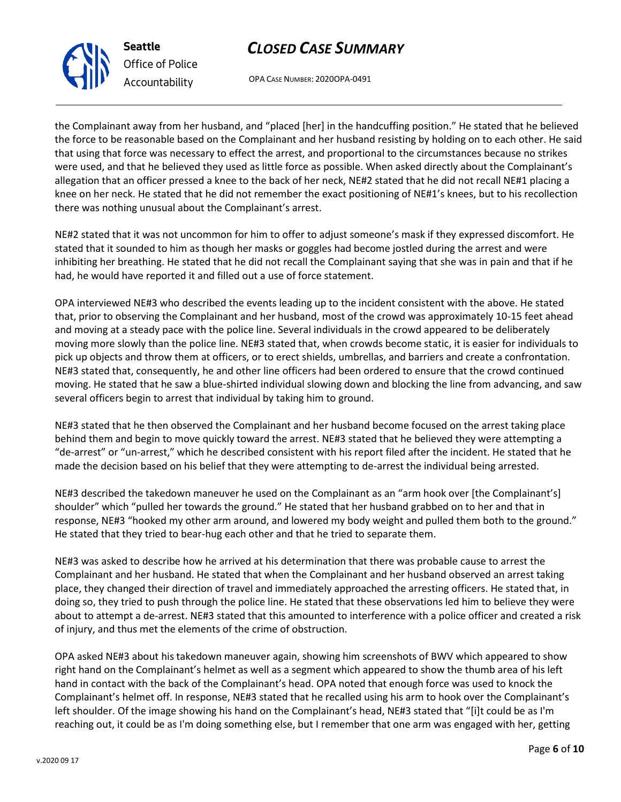OPA CASE NUMBER: 2020OPA-0491

the Complainant away from her husband, and "placed [her] in the handcuffing position." He stated that he believed the force to be reasonable based on the Complainant and her husband resisting by holding on to each other. He said that using that force was necessary to effect the arrest, and proportional to the circumstances because no strikes were used, and that he believed they used as little force as possible. When asked directly about the Complainant's allegation that an officer pressed a knee to the back of her neck, NE#2 stated that he did not recall NE#1 placing a knee on her neck. He stated that he did not remember the exact positioning of NE#1's knees, but to his recollection there was nothing unusual about the Complainant's arrest.

NE#2 stated that it was not uncommon for him to offer to adjust someone's mask if they expressed discomfort. He stated that it sounded to him as though her masks or goggles had become jostled during the arrest and were inhibiting her breathing. He stated that he did not recall the Complainant saying that she was in pain and that if he had, he would have reported it and filled out a use of force statement.

OPA interviewed NE#3 who described the events leading up to the incident consistent with the above. He stated that, prior to observing the Complainant and her husband, most of the crowd was approximately 10-15 feet ahead and moving at a steady pace with the police line. Several individuals in the crowd appeared to be deliberately moving more slowly than the police line. NE#3 stated that, when crowds become static, it is easier for individuals to pick up objects and throw them at officers, or to erect shields, umbrellas, and barriers and create a confrontation. NE#3 stated that, consequently, he and other line officers had been ordered to ensure that the crowd continued moving. He stated that he saw a blue-shirted individual slowing down and blocking the line from advancing, and saw several officers begin to arrest that individual by taking him to ground.

NE#3 stated that he then observed the Complainant and her husband become focused on the arrest taking place behind them and begin to move quickly toward the arrest. NE#3 stated that he believed they were attempting a "de-arrest" or "un-arrest," which he described consistent with his report filed after the incident. He stated that he made the decision based on his belief that they were attempting to de-arrest the individual being arrested.

NE#3 described the takedown maneuver he used on the Complainant as an "arm hook over [the Complainant's] shoulder" which "pulled her towards the ground." He stated that her husband grabbed on to her and that in response, NE#3 "hooked my other arm around, and lowered my body weight and pulled them both to the ground." He stated that they tried to bear-hug each other and that he tried to separate them.

NE#3 was asked to describe how he arrived at his determination that there was probable cause to arrest the Complainant and her husband. He stated that when the Complainant and her husband observed an arrest taking place, they changed their direction of travel and immediately approached the arresting officers. He stated that, in doing so, they tried to push through the police line. He stated that these observations led him to believe they were about to attempt a de-arrest. NE#3 stated that this amounted to interference with a police officer and created a risk of injury, and thus met the elements of the crime of obstruction.

OPA asked NE#3 about his takedown maneuver again, showing him screenshots of BWV which appeared to show right hand on the Complainant's helmet as well as a segment which appeared to show the thumb area of his left hand in contact with the back of the Complainant's head. OPA noted that enough force was used to knock the Complainant's helmet off. In response, NE#3 stated that he recalled using his arm to hook over the Complainant's left shoulder. Of the image showing his hand on the Complainant's head, NE#3 stated that "[i]t could be as I'm reaching out, it could be as I'm doing something else, but I remember that one arm was engaged with her, getting



**Seattle**

*Office of Police*

*Accountability*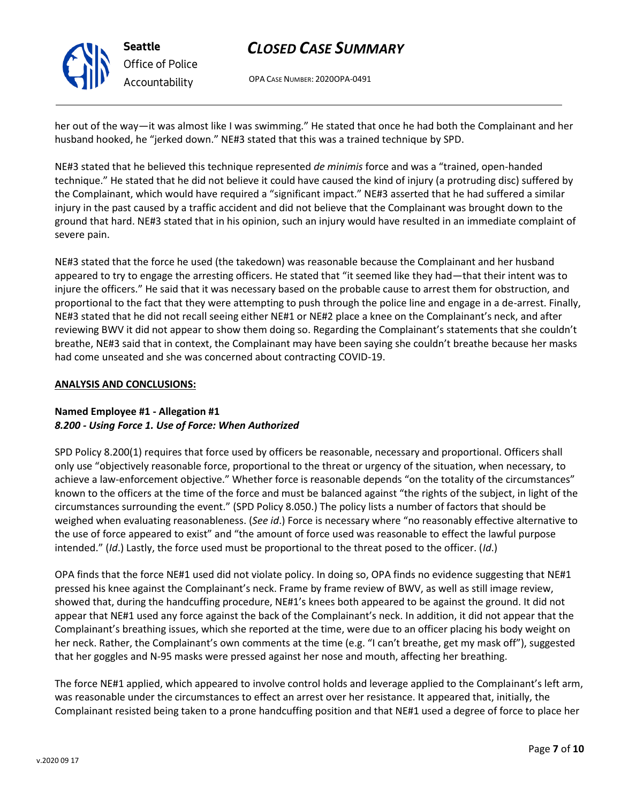OPA CASE NUMBER: 2020OPA-0491

her out of the way—it was almost like I was swimming." He stated that once he had both the Complainant and her husband hooked, he "jerked down." NE#3 stated that this was a trained technique by SPD.

NE#3 stated that he believed this technique represented *de minimis* force and was a "trained, open-handed technique." He stated that he did not believe it could have caused the kind of injury (a protruding disc) suffered by the Complainant, which would have required a "significant impact." NE#3 asserted that he had suffered a similar injury in the past caused by a traffic accident and did not believe that the Complainant was brought down to the ground that hard. NE#3 stated that in his opinion, such an injury would have resulted in an immediate complaint of severe pain.

NE#3 stated that the force he used (the takedown) was reasonable because the Complainant and her husband appeared to try to engage the arresting officers. He stated that "it seemed like they had—that their intent was to injure the officers." He said that it was necessary based on the probable cause to arrest them for obstruction, and proportional to the fact that they were attempting to push through the police line and engage in a de-arrest. Finally, NE#3 stated that he did not recall seeing either NE#1 or NE#2 place a knee on the Complainant's neck, and after reviewing BWV it did not appear to show them doing so. Regarding the Complainant's statements that she couldn't breathe, NE#3 said that in context, the Complainant may have been saying she couldn't breathe because her masks had come unseated and she was concerned about contracting COVID-19.

### **ANALYSIS AND CONCLUSIONS:**

### **Named Employee #1 - Allegation #1** *8.200 - Using Force 1. Use of Force: When Authorized*

SPD Policy 8.200(1) requires that force used by officers be reasonable, necessary and proportional. Officers shall only use "objectively reasonable force, proportional to the threat or urgency of the situation, when necessary, to achieve a law-enforcement objective." Whether force is reasonable depends "on the totality of the circumstances" known to the officers at the time of the force and must be balanced against "the rights of the subject, in light of the circumstances surrounding the event." (SPD Policy 8.050.) The policy lists a number of factors that should be weighed when evaluating reasonableness. (*See id*.) Force is necessary where "no reasonably effective alternative to the use of force appeared to exist" and "the amount of force used was reasonable to effect the lawful purpose intended." (*Id*.) Lastly, the force used must be proportional to the threat posed to the officer. (*Id*.)

OPA finds that the force NE#1 used did not violate policy. In doing so, OPA finds no evidence suggesting that NE#1 pressed his knee against the Complainant's neck. Frame by frame review of BWV, as well as still image review, showed that, during the handcuffing procedure, NE#1's knees both appeared to be against the ground. It did not appear that NE#1 used any force against the back of the Complainant's neck. In addition, it did not appear that the Complainant's breathing issues, which she reported at the time, were due to an officer placing his body weight on her neck. Rather, the Complainant's own comments at the time (e.g. "I can't breathe, get my mask off"), suggested that her goggles and N-95 masks were pressed against her nose and mouth, affecting her breathing.

The force NE#1 applied, which appeared to involve control holds and leverage applied to the Complainant's left arm, was reasonable under the circumstances to effect an arrest over her resistance. It appeared that, initially, the Complainant resisted being taken to a prone handcuffing position and that NE#1 used a degree of force to place her



**Seattle** *Office of Police Accountability*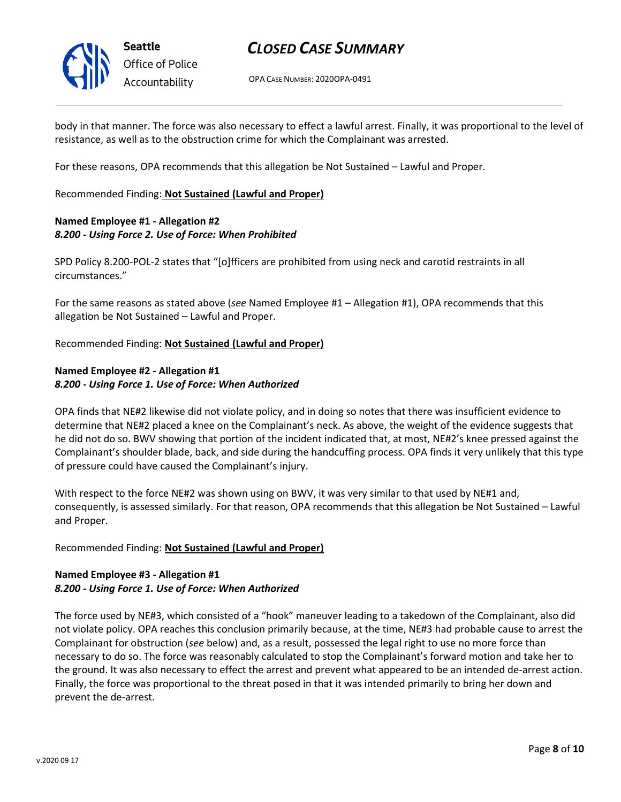

OPA CASE NUMBER: 2020OPA-0491

body in that manner. The force was also necessary to effect a lawful arrest. Finally, it was proportional to the level of resistance, as well as to the obstruction crime for which the Complainant was arrested.

For these reasons, OPA recommends that this allegation be Not Sustained – Lawful and Proper.

Recommended Finding: **Not Sustained (Lawful and Proper)**

### **Named Employee #1 - Allegation #2** *8.200 - Using Force 2. Use of Force: When Prohibited*

SPD Policy 8.200-POL-2 states that "[o]fficers are prohibited from using neck and carotid restraints in all circumstances."

For the same reasons as stated above (*see* Named Employee #1 – Allegation #1), OPA recommends that this allegation be Not Sustained – Lawful and Proper.

Recommended Finding: **Not Sustained (Lawful and Proper)**

### **Named Employee #2 - Allegation #1** *8.200 - Using Force 1. Use of Force: When Authorized*

OPA finds that NE#2 likewise did not violate policy, and in doing so notes that there was insufficient evidence to determine that NE#2 placed a knee on the Complainant's neck. As above, the weight of the evidence suggests that he did not do so. BWV showing that portion of the incident indicated that, at most, NE#2's knee pressed against the Complainant's shoulder blade, back, and side during the handcuffing process. OPA finds it very unlikely that this type of pressure could have caused the Complainant's injury.

With respect to the force NE#2 was shown using on BWV, it was very similar to that used by NE#1 and, consequently, is assessed similarly. For that reason, OPA recommends that this allegation be Not Sustained – Lawful and Proper.

#### Recommended Finding: **Not Sustained (Lawful and Proper)**

### **Named Employee #3 - Allegation #1** *8.200 - Using Force 1. Use of Force: When Authorized*

The force used by NE#3, which consisted of a "hook" maneuver leading to a takedown of the Complainant, also did not violate policy. OPA reaches this conclusion primarily because, at the time, NE#3 had probable cause to arrest the Complainant for obstruction (*see* below) and, as a result, possessed the legal right to use no more force than necessary to do so. The force was reasonably calculated to stop the Complainant's forward motion and take her to the ground. It was also necessary to effect the arrest and prevent what appeared to be an intended de-arrest action. Finally, the force was proportional to the threat posed in that it was intended primarily to bring her down and prevent the de-arrest.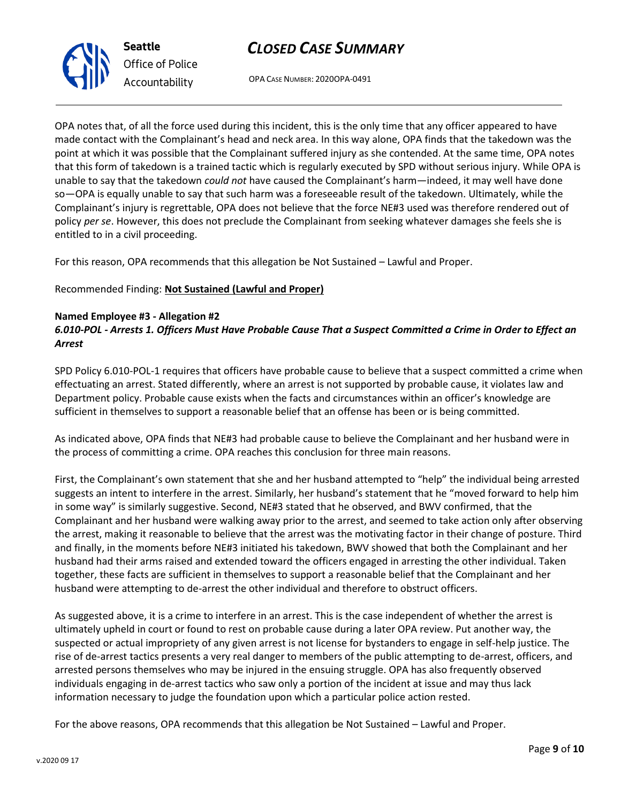OPA CASE NUMBER: 2020OPA-0491

OPA notes that, of all the force used during this incident, this is the only time that any officer appeared to have made contact with the Complainant's head and neck area. In this way alone, OPA finds that the takedown was the point at which it was possible that the Complainant suffered injury as she contended. At the same time, OPA notes that this form of takedown is a trained tactic which is regularly executed by SPD without serious injury. While OPA is unable to say that the takedown *could not* have caused the Complainant's harm—indeed, it may well have done so—OPA is equally unable to say that such harm was a foreseeable result of the takedown. Ultimately, while the Complainant's injury is regrettable, OPA does not believe that the force NE#3 used was therefore rendered out of policy *per se*. However, this does not preclude the Complainant from seeking whatever damages she feels she is entitled to in a civil proceeding.

For this reason, OPA recommends that this allegation be Not Sustained – Lawful and Proper.

Recommended Finding: **Not Sustained (Lawful and Proper)**

### **Named Employee #3 - Allegation #2**

### *6.010-POL - Arrests 1. Officers Must Have Probable Cause That a Suspect Committed a Crime in Order to Effect an Arrest*

SPD Policy 6.010-POL-1 requires that officers have probable cause to believe that a suspect committed a crime when effectuating an arrest. Stated differently, where an arrest is not supported by probable cause, it violates law and Department policy. Probable cause exists when the facts and circumstances within an officer's knowledge are sufficient in themselves to support a reasonable belief that an offense has been or is being committed.

As indicated above, OPA finds that NE#3 had probable cause to believe the Complainant and her husband were in the process of committing a crime. OPA reaches this conclusion for three main reasons.

First, the Complainant's own statement that she and her husband attempted to "help" the individual being arrested suggests an intent to interfere in the arrest. Similarly, her husband's statement that he "moved forward to help him in some way" is similarly suggestive. Second, NE#3 stated that he observed, and BWV confirmed, that the Complainant and her husband were walking away prior to the arrest, and seemed to take action only after observing the arrest, making it reasonable to believe that the arrest was the motivating factor in their change of posture. Third and finally, in the moments before NE#3 initiated his takedown, BWV showed that both the Complainant and her husband had their arms raised and extended toward the officers engaged in arresting the other individual. Taken together, these facts are sufficient in themselves to support a reasonable belief that the Complainant and her husband were attempting to de-arrest the other individual and therefore to obstruct officers.

As suggested above, it is a crime to interfere in an arrest. This is the case independent of whether the arrest is ultimately upheld in court or found to rest on probable cause during a later OPA review. Put another way, the suspected or actual impropriety of any given arrest is not license for bystanders to engage in self-help justice. The rise of de-arrest tactics presents a very real danger to members of the public attempting to de-arrest, officers, and arrested persons themselves who may be injured in the ensuing struggle. OPA has also frequently observed individuals engaging in de-arrest tactics who saw only a portion of the incident at issue and may thus lack information necessary to judge the foundation upon which a particular police action rested.

For the above reasons, OPA recommends that this allegation be Not Sustained – Lawful and Proper.



**Seattle** *Office of Police Accountability*